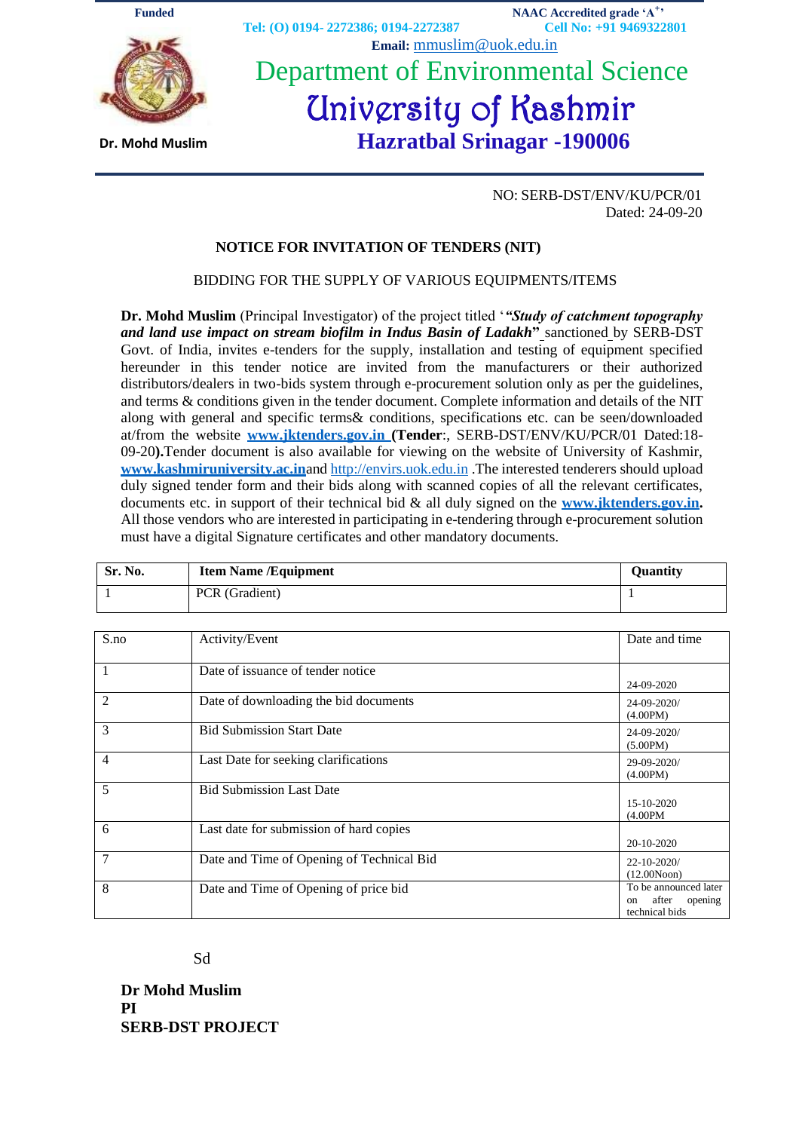

NO: SERB-DST/ENV/KU/PCR/01 Dated: 24-09-20

#### **NOTICE FOR INVITATION OF TENDERS (NIT)**

#### BIDDING FOR THE SUPPLY OF VARIOUS EQUIPMENTS/ITEMS

**Dr. Mohd Muslim** (Principal Investigator) of the project titled "*"Study of catchment topography and land use impact on stream biofilm in Indus Basin of Ladakh***"** sanctioned by SERB-DST Govt. of India, invites e-tenders for the supply, installation and testing of equipment specified hereunder in this tender notice are invited from the manufacturers or their authorized distributors/dealers in two-bids system through e-procurement solution only as per the guidelines, and terms & conditions given in the tender document. Complete information and details of the NIT along with general and specific terms& conditions, specifications etc. can be seen/downloaded at/from the website **www.jktenders.gov.in (Tender**:, SERB-DST/ENV/KU/PCR/01 Dated:18- 09-20**).**Tender document is also available for viewing on the website of University of Kashmir, **[www.kashmiruniversity.ac.in](http://www.kashmiruniversity.ac.inand/)**and [http://envirs.uok.edu.in](http://www.kashmiruniversity.ac.inand/) .The interested tenderers should upload duly signed tender form and their bids along with scanned copies of all the relevant certificates, documents etc. in support of their technical bid & all duly signed on the **[www.jktenders.gov.in.](http://www.jktenders.gov.in/)** All those vendors who are interested in participating in e-tendering through e-procurement solution must have a digital Signature certificates and other mandatory documents.

| Sr. No. | <b>Item Name /Equipment</b> | Ouantitv |
|---------|-----------------------------|----------|
|         | PCR (Gradient)              |          |

| S.no           | Activity/Event                            | Date and time          |
|----------------|-------------------------------------------|------------------------|
|                |                                           |                        |
| $\mathbf{1}$   | Date of issuance of tender notice         |                        |
|                |                                           | 24-09-2020             |
| $\overline{2}$ | Date of downloading the bid documents     | 24-09-2020/            |
|                |                                           | (4.00PM)               |
| 3              | <b>Bid Submission Start Date</b>          | 24-09-2020/            |
|                |                                           | (5.00PM)               |
| 4              | Last Date for seeking clarifications      | 29-09-2020/            |
|                |                                           | (4.00PM)               |
| 5              | <b>Bid Submission Last Date</b>           |                        |
|                |                                           | 15-10-2020             |
|                |                                           | $(4.00$ PM             |
| 6              | Last date for submission of hard copies   |                        |
|                |                                           | 20-10-2020             |
| 7              | Date and Time of Opening of Technical Bid | $22 - 10 - 2020/$      |
|                |                                           | (12.00Noon)            |
| 8              | Date and Time of Opening of price bid     | To be announced later  |
|                |                                           | after<br>opening<br>on |
|                |                                           | technical bids         |

Sd

**Dr Mohd Muslim PI SERB-DST PROJECT**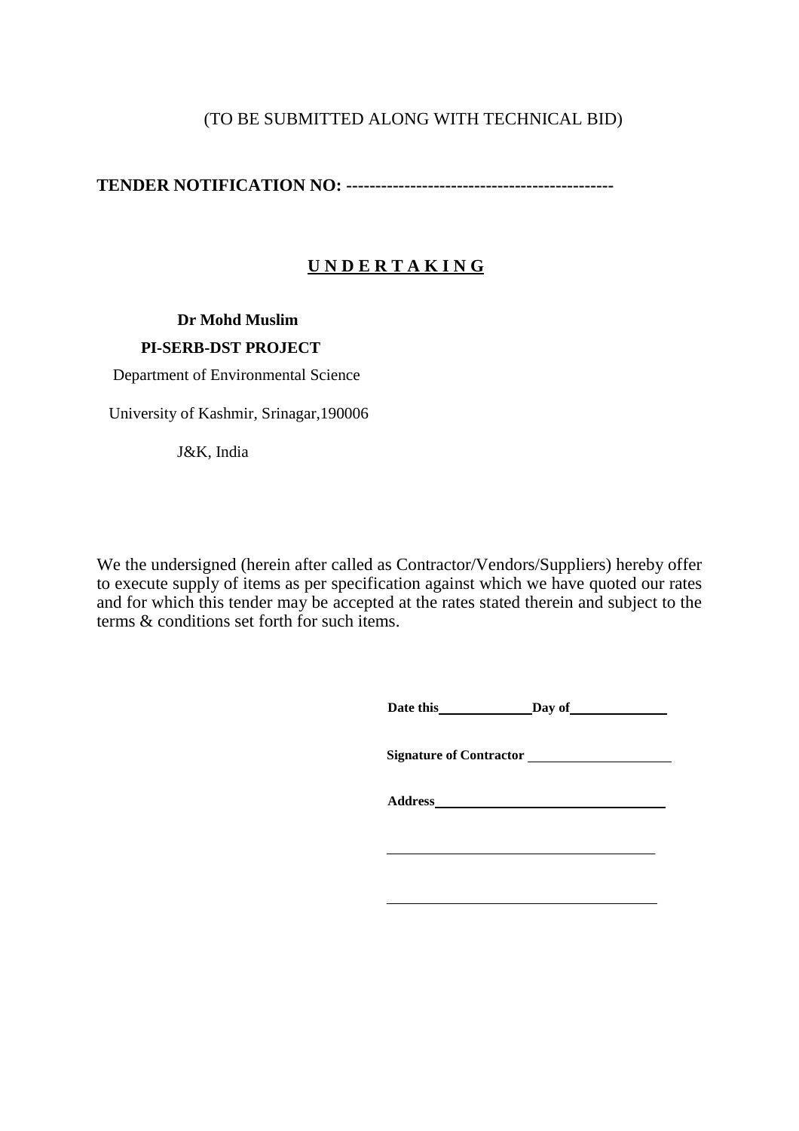# (TO BE SUBMITTED ALONG WITH TECHNICAL BID)

**TENDER NOTIFICATION NO: ----------------------------------------------**

# **U N D E R T A K I N G**

## **Dr Mohd Muslim**

## **PI-SERB-DST PROJECT**

Department of Environmental Science

University of Kashmir, Srinagar,190006

J&K, India

We the undersigned (herein after called as Contractor/Vendors/Suppliers) hereby offer to execute supply of items as per specification against which we have quoted our rates and for which this tender may be accepted at the rates stated therein and subject to the terms & conditions set forth for such items.

**Date this Day** of

**Signature of Contractor** 

**Address**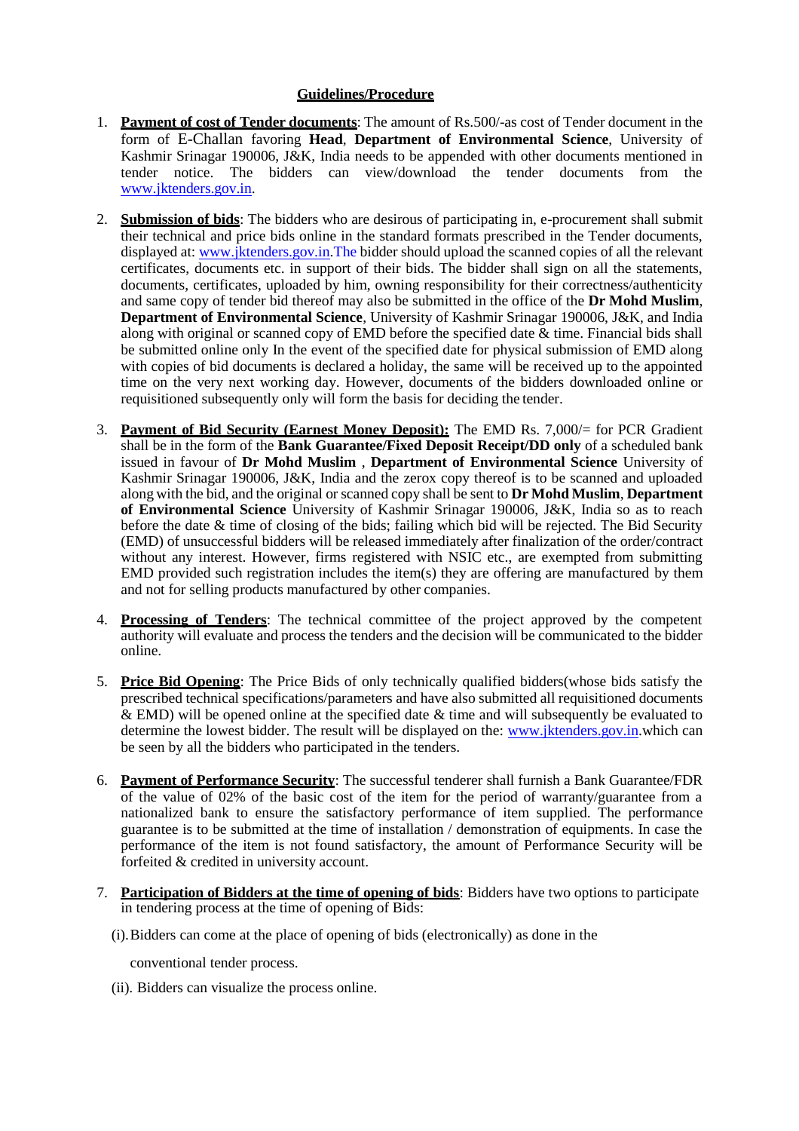#### **Guidelines/Procedure**

- 1. **Payment of cost of Tender documents**: The amount of Rs.500/-as cost of Tender document in the form of E-Challan favoring **Head**, **Department of Environmental Science**, University of Kashmir Srinagar 190006, J&K, India needs to be appended with other documents mentioned in tender notice. The bidders can view/download the tender documents from th[e](http://www.jktenders.gov.in/) [www.jktenders.gov.in](http://www.jktenders.gov.in/).
- 2. **Submission of bids**: The bidders who are desirous of participating in, e-procurement shall submit their technical and price bids online in the standard formats prescribed in the Tender documents, displayed at: [www.jktenders.gov.in](http://www.jktenders.gov.in/).The bidder should upload the scanned copies of all the relevant certificates, documents etc. in support of their bids. The bidder shall sign on all the statements, documents, certificates, uploaded by him, owning responsibility for their correctness/authenticity and same copy of tender bid thereof may also be submitted in the office of the **Dr Mohd Muslim**, **Department of Environmental Science**, University of Kashmir Srinagar 190006, J&K, and India along with original or scanned copy of EMD before the specified date  $\&$  time. Financial bids shall be submitted online only In the event of the specified date for physical submission of EMD along with copies of bid documents is declared a holiday, the same will be received up to the appointed time on the very next working day. However, documents of the bidders downloaded online or requisitioned subsequently only will form the basis for deciding the tender.
- 3. **Payment of Bid Security (Earnest Money Deposit):** The EMD Rs. 7,000/= for PCR Gradient shall be in the form of the **Bank Guarantee/Fixed Deposit Receipt/DD only** of a scheduled bank issued in favour of **Dr Mohd Muslim** , **Department of Environmental Science** University of Kashmir Srinagar 190006, J&K, India and the zerox copy thereof is to be scanned and uploaded along with the bid, and the original or scanned copy shall be sent to **Dr Mohd Muslim**, **Department of Environmental Science** University of Kashmir Srinagar 190006, J&K, India so as to reach before the date & time of closing of the bids; failing which bid will be rejected. The Bid Security (EMD) of unsuccessful bidders will be released immediately after finalization of the order/contract without any interest. However, firms registered with NSIC etc., are exempted from submitting EMD provided such registration includes the item(s) they are offering are manufactured by them and not for selling products manufactured by other companies.
- 4. **Processing of Tenders**: The technical committee of the project approved by the competent authority will evaluate and process the tenders and the decision will be communicated to the bidder online.
- 5. **Price Bid Opening**: The Price Bids of only technically qualified bidders(whose bids satisfy the prescribed technical specifications/parameters and have also submitted all requisitioned documents  $\&$  EMD) will be opened online at the specified date  $&$  time and will subsequently be evaluated to determine the lowest bidder. The result will be displayed on the: [www.jktenders.gov.in](http://delhi.govtprocurement.com/).which can be seen by all the bidders who participated in the tenders.
- 6. **Payment of Performance Security**: The successful tenderer shall furnish a Bank Guarantee/FDR of the value of 02% of the basic cost of the item for the period of warranty/guarantee from a nationalized bank to ensure the satisfactory performance of item supplied. The performance guarantee is to be submitted at the time of installation / demonstration of equipments. In case the performance of the item is not found satisfactory, the amount of Performance Security will be forfeited & credited in university account.
- 7. **Participation of Bidders at the time of opening of bids**: Bidders have two options to participate in tendering process at the time of opening of Bids:
	- (i).Bidders can come at the place of opening of bids (electronically) as done in the
		- conventional tender process.
	- (ii). Bidders can visualize the process online.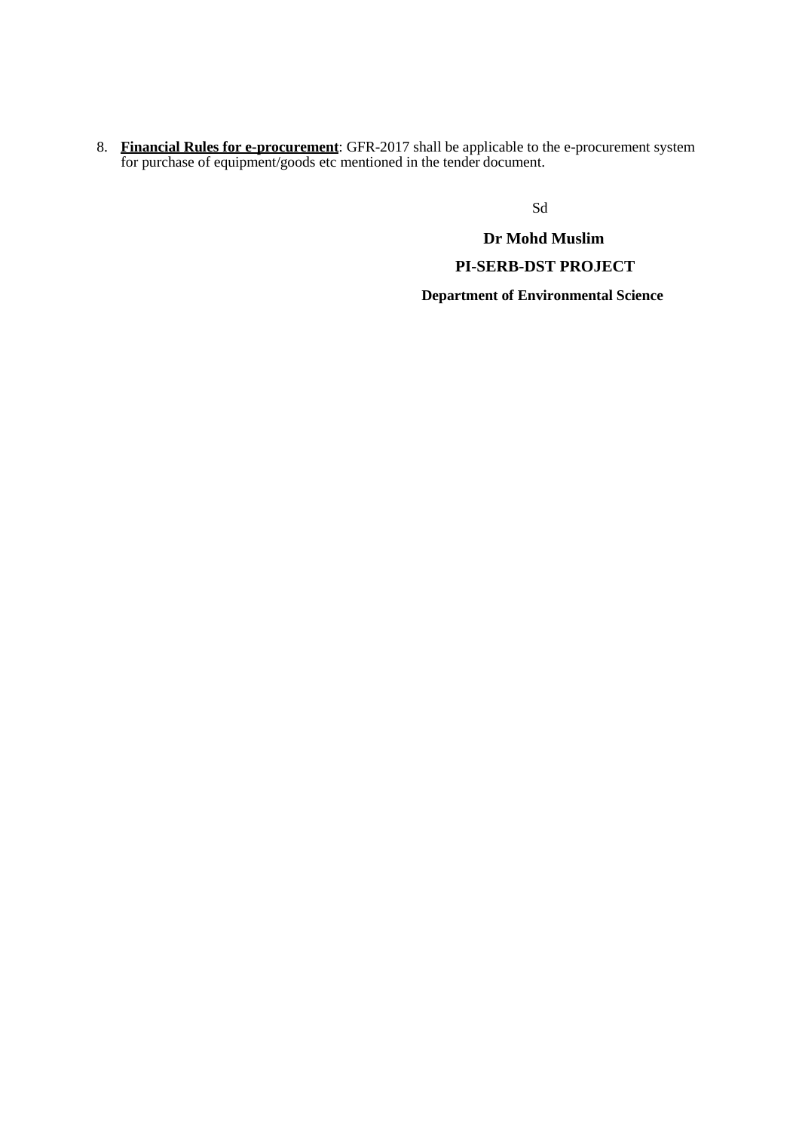8. **Financial Rules for e-procurement**: GFR-2017 shall be applicable to the e-procurement system for purchase of equipment/goods etc mentioned in the tender document.

Sd

**Dr Mohd Muslim PI-SERB-DST PROJECT Department of Environmental Science**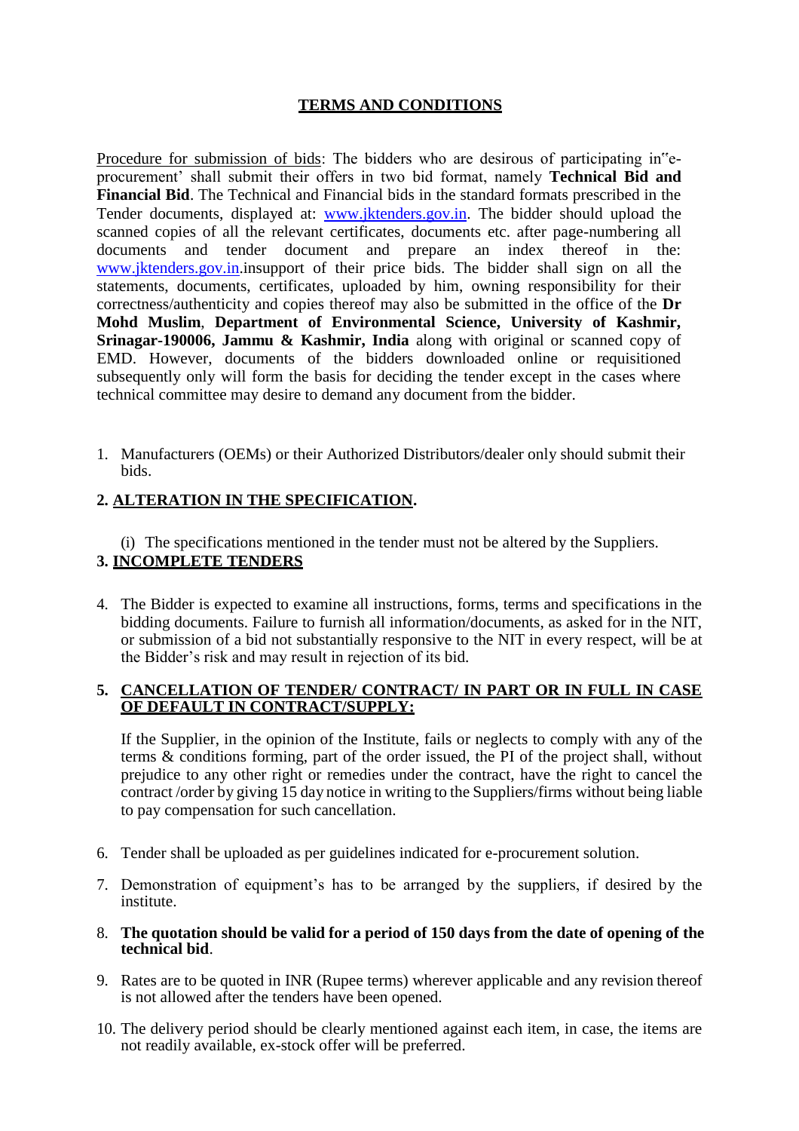## **TERMS AND CONDITIONS**

Procedure for submission of bids: The bidders who are desirous of participating in"eprocurement" shall submit their offers in two bid format, namely **Technical Bid and Financial Bid**. The Technical and Financial bids in the standard formats prescribed in the Tender documents, displayed at: [www.jktenders.gov.in](http://www.jktenders.gov.in/). The bidder should upload the scanned copies of all the relevant certificates, documents etc. after page-numbering all documents and tender document and prepare an index thereof in the: [www.jktenders.gov.in](http://www.jktenders.gov.in/).insupport of their price bids. The bidder shall sign on all the statements, documents, certificates, uploaded by him, owning responsibility for their correctness/authenticity and copies thereof may also be submitted in the office of the **Dr Mohd Muslim**, **Department of Environmental Science, University of Kashmir, Srinagar-190006, Jammu & Kashmir, India** along with original or scanned copy of EMD. However, documents of the bidders downloaded online or requisitioned subsequently only will form the basis for deciding the tender except in the cases where technical committee may desire to demand any document from the bidder.

1. Manufacturers (OEMs) or their Authorized Distributors/dealer only should submit their bids.

## **2. ALTERATION IN THE SPECIFICATION.**

(i) The specifications mentioned in the tender must not be altered by the Suppliers. **3. INCOMPLETE TENDERS**

4. The Bidder is expected to examine all instructions, forms, terms and specifications in the bidding documents. Failure to furnish all information/documents, as asked for in the NIT, or submission of a bid not substantially responsive to the NIT in every respect, will be at the Bidder"s risk and may result in rejection of its bid.

#### **5. CANCELLATION OF TENDER/ CONTRACT/ IN PART OR IN FULL IN CASE OF DEFAULT IN CONTRACT/SUPPLY:**

If the Supplier, in the opinion of the Institute, fails or neglects to comply with any of the terms & conditions forming, part of the order issued, the PI of the project shall, without prejudice to any other right or remedies under the contract, have the right to cancel the contract /order by giving 15 day notice in writing to the Suppliers/firms without being liable to pay compensation for such cancellation.

- 6. Tender shall be uploaded as per guidelines indicated for e-procurement solution.
- 7. Demonstration of equipment"s has to be arranged by the suppliers, if desired by the institute.
- 8. **The quotation should be valid for a period of 150 days from the date of opening of the technical bid**.
- 9. Rates are to be quoted in INR (Rupee terms) wherever applicable and any revision thereof is not allowed after the tenders have been opened.
- 10. The delivery period should be clearly mentioned against each item, in case, the items are not readily available, ex-stock offer will be preferred.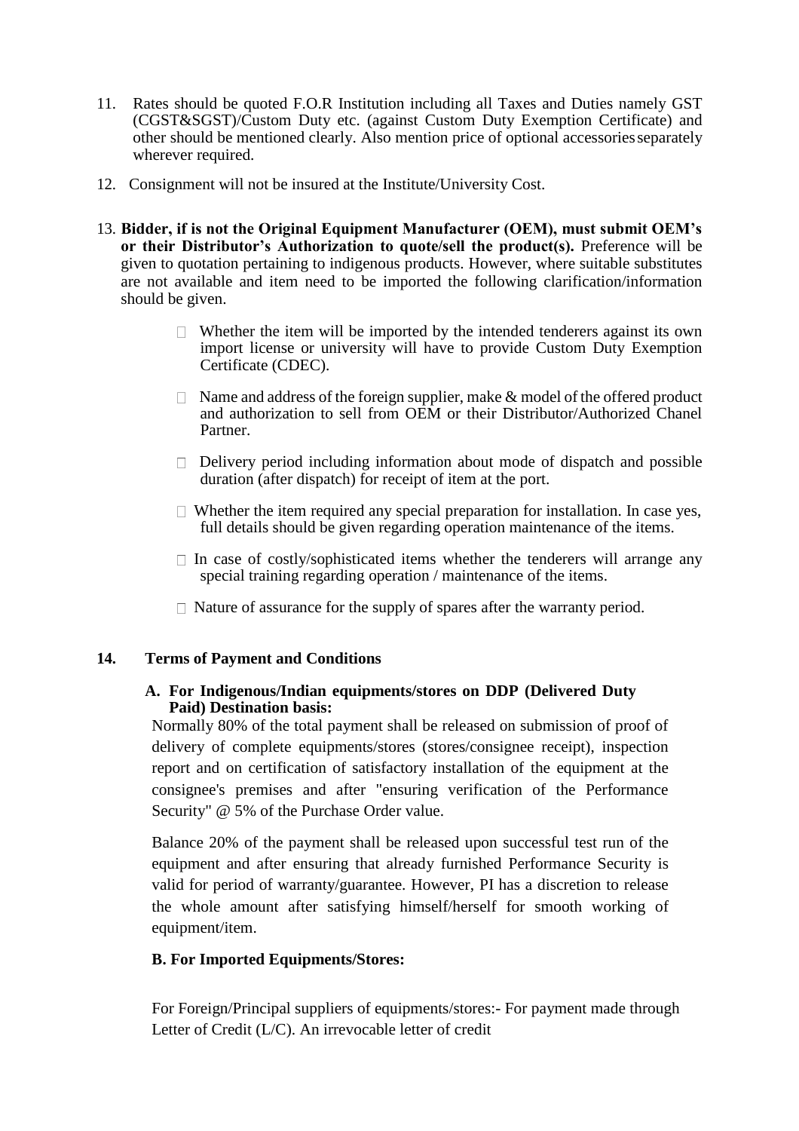- 11. Rates should be quoted F.O.R Institution including all Taxes and Duties namely GST (CGST&SGST)/Custom Duty etc. (against Custom Duty Exemption Certificate) and other should be mentioned clearly. Also mention price of optional accessoriesseparately wherever required.
- 12. Consignment will not be insured at the Institute/University Cost.
- 13. **Bidder, if is not the Original Equipment Manufacturer (OEM), must submit OEM's or their Distributor's Authorization to quote/sell the product(s).** Preference will be given to quotation pertaining to indigenous products. However, where suitable substitutes are not available and item need to be imported the following clarification/information should be given.
	- $\Box$  Whether the item will be imported by the intended tenderers against its own import license or university will have to provide Custom Duty Exemption Certificate (CDEC).
	- $\Box$  Name and address of the foreign supplier, make & model of the offered product and authorization to sell from OEM or their Distributor/Authorized Chanel Partner.
	- $\Box$  Delivery period including information about mode of dispatch and possible duration (after dispatch) for receipt of item at the port.
	- $\Box$  Whether the item required any special preparation for installation. In case yes, full details should be given regarding operation maintenance of the items.
	- $\Box$  In case of costly/sophisticated items whether the tenderers will arrange any special training regarding operation / maintenance of the items.
	- $\Box$  Nature of assurance for the supply of spares after the warranty period.

## **14. Terms of Payment and Conditions**

## **A. For Indigenous/Indian equipments/stores on DDP (Delivered Duty Paid) Destination basis:**

Normally 80% of the total payment shall be released on submission of proof of delivery of complete equipments/stores (stores/consignee receipt), inspection report and on certification of satisfactory installation of the equipment at the consignee's premises and after "ensuring verification of the Performance Security" @ 5% of the Purchase Order value.

Balance 20% of the payment shall be released upon successful test run of the equipment and after ensuring that already furnished Performance Security is valid for period of warranty/guarantee. However, PI has a discretion to release the whole amount after satisfying himself/herself for smooth working of equipment/item.

## **B. For Imported Equipments/Stores:**

For Foreign/Principal suppliers of equipments/stores:- For payment made through Letter of Credit (L/C). An irrevocable letter of credit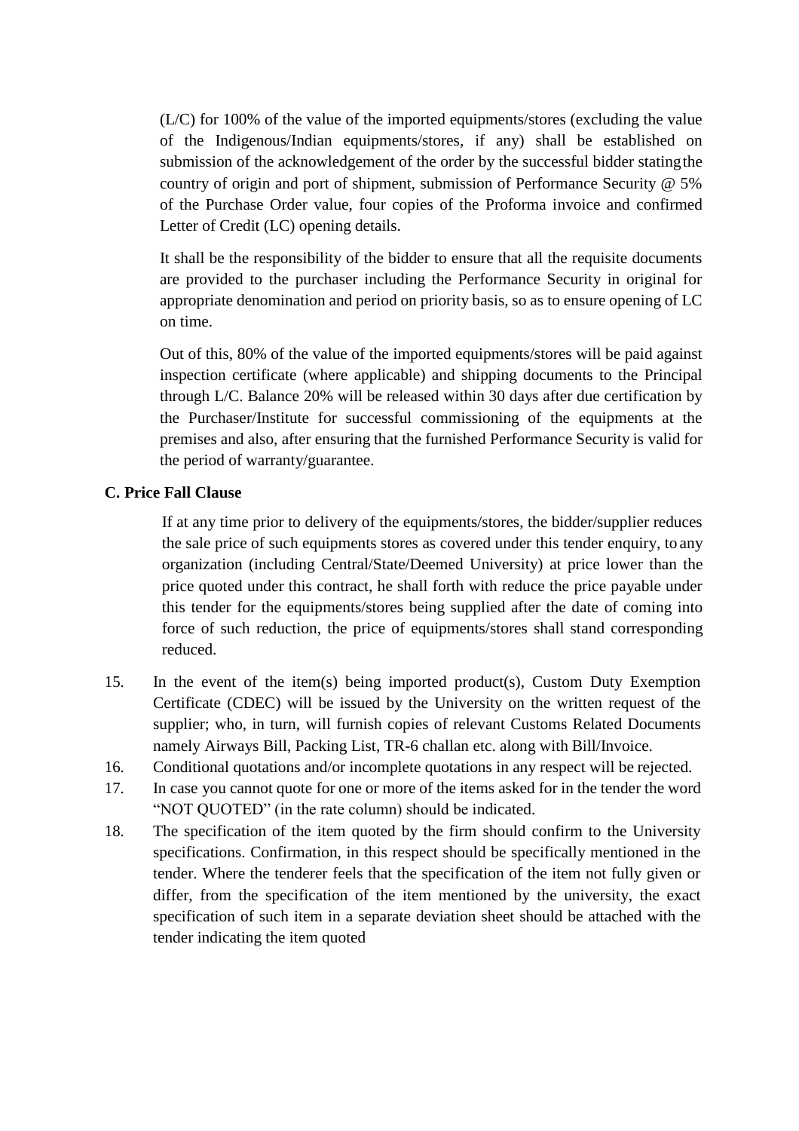(L/C) for 100% of the value of the imported equipments/stores (excluding the value of the Indigenous/Indian equipments/stores, if any) shall be established on submission of the acknowledgement of the order by the successful bidder statingthe country of origin and port of shipment, submission of Performance Security @ 5% of the Purchase Order value, four copies of the Proforma invoice and confirmed Letter of Credit (LC) opening details.

It shall be the responsibility of the bidder to ensure that all the requisite documents are provided to the purchaser including the Performance Security in original for appropriate denomination and period on priority basis, so as to ensure opening of LC on time.

Out of this, 80% of the value of the imported equipments/stores will be paid against inspection certificate (where applicable) and shipping documents to the Principal through L/C. Balance 20% will be released within 30 days after due certification by the Purchaser/Institute for successful commissioning of the equipments at the premises and also, after ensuring that the furnished Performance Security is valid for the period of warranty/guarantee.

## **C. Price Fall Clause**

If at any time prior to delivery of the equipments/stores, the bidder/supplier reduces the sale price of such equipments stores as covered under this tender enquiry, to any organization (including Central/State/Deemed University) at price lower than the price quoted under this contract, he shall forth with reduce the price payable under this tender for the equipments/stores being supplied after the date of coming into force of such reduction, the price of equipments/stores shall stand corresponding reduced.

- 15. In the event of the item(s) being imported product(s), Custom Duty Exemption Certificate (CDEC) will be issued by the University on the written request of the supplier; who, in turn, will furnish copies of relevant Customs Related Documents namely Airways Bill, Packing List, TR-6 challan etc. along with Bill/Invoice.
- 16. Conditional quotations and/or incomplete quotations in any respect will be rejected.
- 17. In case you cannot quote for one or more of the items asked for in the tender the word "NOT QUOTED" (in the rate column) should be indicated.
- 18. The specification of the item quoted by the firm should confirm to the University specifications. Confirmation, in this respect should be specifically mentioned in the tender. Where the tenderer feels that the specification of the item not fully given or differ, from the specification of the item mentioned by the university, the exact specification of such item in a separate deviation sheet should be attached with the tender indicating the item quoted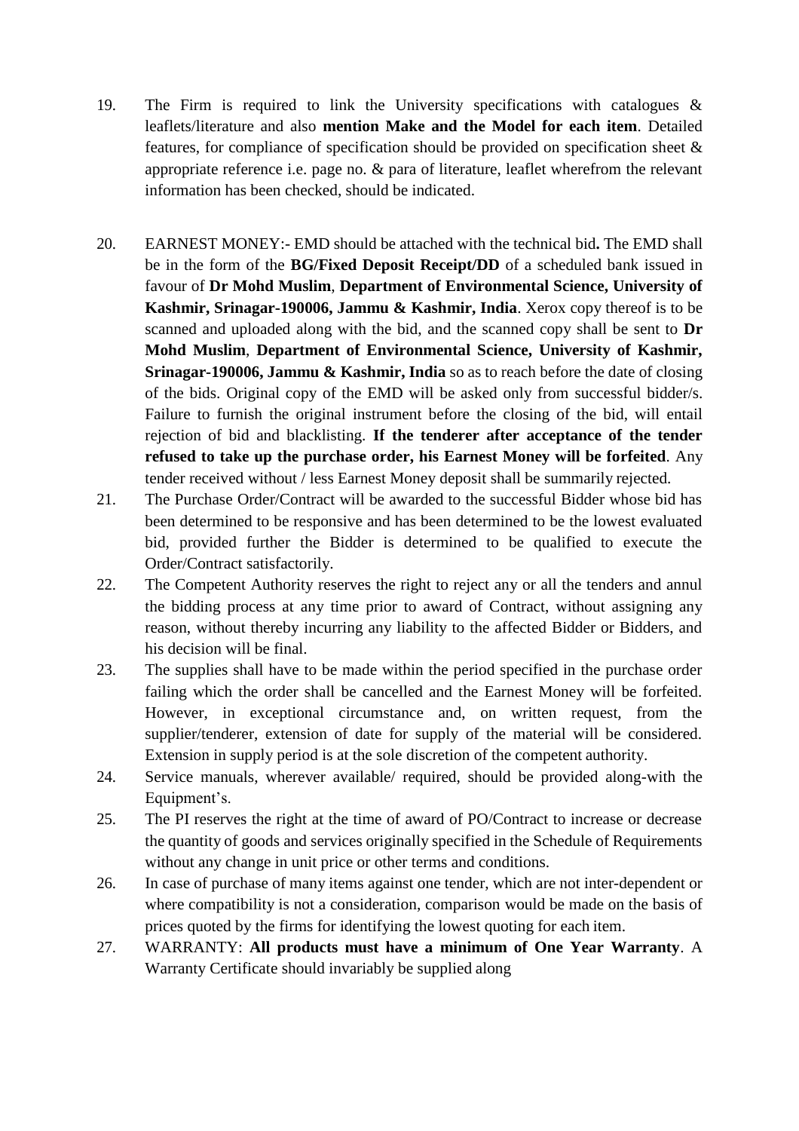- 19. The Firm is required to link the University specifications with catalogues & leaflets/literature and also **mention Make and the Model for each item**. Detailed features, for compliance of specification should be provided on specification sheet & appropriate reference i.e. page no. & para of literature, leaflet wherefrom the relevant information has been checked, should be indicated.
- 20. EARNEST MONEY:- EMD should be attached with the technical bid**.** The EMD shall be in the form of the **BG/Fixed Deposit Receipt/DD** of a scheduled bank issued in favour of **Dr Mohd Muslim**, **Department of Environmental Science, University of Kashmir, Srinagar-190006, Jammu & Kashmir, India**. Xerox copy thereof is to be scanned and uploaded along with the bid, and the scanned copy shall be sent to **Dr Mohd Muslim**, **Department of Environmental Science, University of Kashmir, Srinagar-190006, Jammu & Kashmir, India** so as to reach before the date of closing of the bids. Original copy of the EMD will be asked only from successful bidder/s. Failure to furnish the original instrument before the closing of the bid, will entail rejection of bid and blacklisting. **If the tenderer after acceptance of the tender refused to take up the purchase order, his Earnest Money will be forfeited**. Any tender received without / less Earnest Money deposit shall be summarily rejected.
- 21. The Purchase Order/Contract will be awarded to the successful Bidder whose bid has been determined to be responsive and has been determined to be the lowest evaluated bid, provided further the Bidder is determined to be qualified to execute the Order/Contract satisfactorily.
- 22. The Competent Authority reserves the right to reject any or all the tenders and annul the bidding process at any time prior to award of Contract, without assigning any reason, without thereby incurring any liability to the affected Bidder or Bidders, and his decision will be final.
- 23. The supplies shall have to be made within the period specified in the purchase order failing which the order shall be cancelled and the Earnest Money will be forfeited. However, in exceptional circumstance and, on written request, from the supplier/tenderer, extension of date for supply of the material will be considered. Extension in supply period is at the sole discretion of the competent authority.
- 24. Service manuals, wherever available/ required, should be provided along-with the Equipment's.
- 25. The PI reserves the right at the time of award of PO/Contract to increase or decrease the quantity of goods and services originally specified in the Schedule of Requirements without any change in unit price or other terms and conditions.
- 26. In case of purchase of many items against one tender, which are not inter-dependent or where compatibility is not a consideration, comparison would be made on the basis of prices quoted by the firms for identifying the lowest quoting for each item.
- 27. WARRANTY: **All products must have a minimum of One Year Warranty**. A Warranty Certificate should invariably be supplied along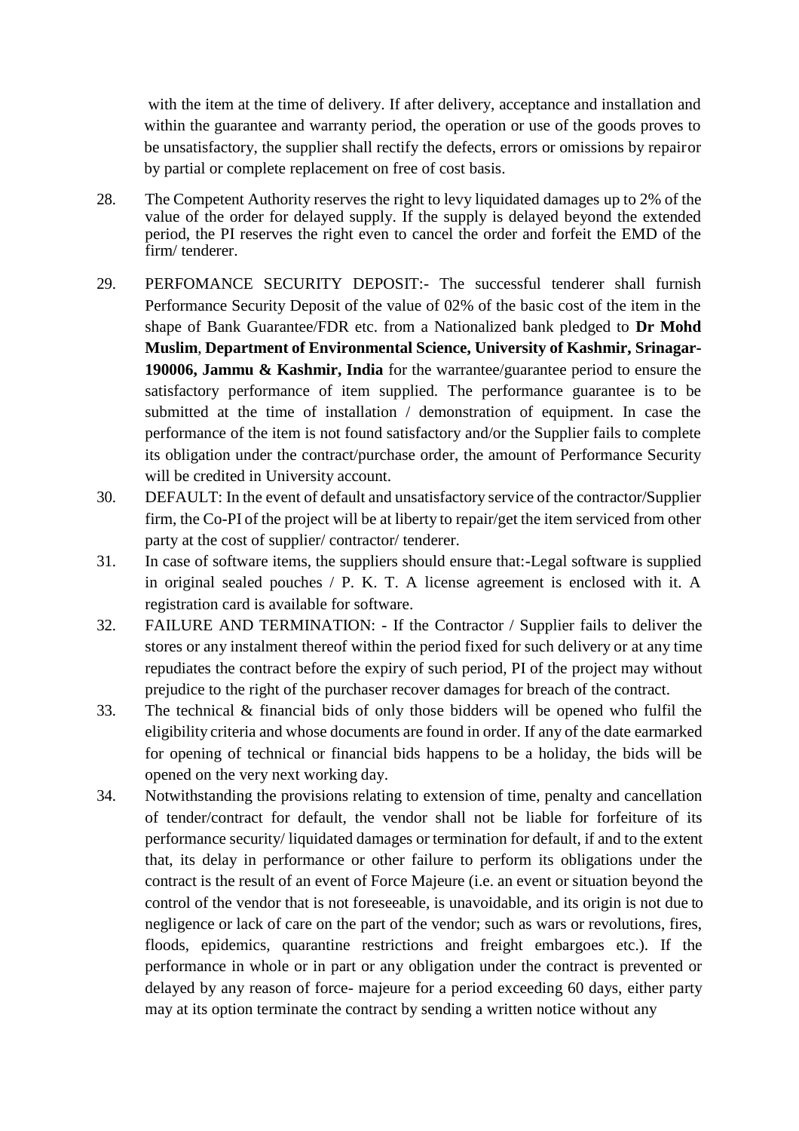with the item at the time of delivery. If after delivery, acceptance and installation and within the guarantee and warranty period, the operation or use of the goods proves to be unsatisfactory, the supplier shall rectify the defects, errors or omissions by repairor by partial or complete replacement on free of cost basis.

- 28. The Competent Authority reserves the right to levy liquidated damages up to 2% of the value of the order for delayed supply. If the supply is delayed beyond the extended period, the PI reserves the right even to cancel the order and forfeit the EMD of the firm/ tenderer.
- 29. PERFOMANCE SECURITY DEPOSIT:- The successful tenderer shall furnish Performance Security Deposit of the value of 02% of the basic cost of the item in the shape of Bank Guarantee/FDR etc. from a Nationalized bank pledged to **Dr Mohd Muslim**, **Department of Environmental Science, University of Kashmir, Srinagar-190006, Jammu & Kashmir, India** for the warrantee/guarantee period to ensure the satisfactory performance of item supplied. The performance guarantee is to be submitted at the time of installation / demonstration of equipment. In case the performance of the item is not found satisfactory and/or the Supplier fails to complete its obligation under the contract/purchase order, the amount of Performance Security will be credited in University account.
- 30. DEFAULT: In the event of default and unsatisfactory service of the contractor/Supplier firm, the Co-PI of the project will be at liberty to repair/get the item serviced from other party at the cost of supplier/ contractor/ tenderer.
- 31. In case of software items, the suppliers should ensure that:-Legal software is supplied in original sealed pouches / P. K. T. A license agreement is enclosed with it. A registration card is available for software.
- 32. FAILURE AND TERMINATION: If the Contractor / Supplier fails to deliver the stores or any instalment thereof within the period fixed for such delivery or at any time repudiates the contract before the expiry of such period, PI of the project may without prejudice to the right of the purchaser recover damages for breach of the contract.
- 33. The technical & financial bids of only those bidders will be opened who fulfil the eligibility criteria and whose documents are found in order. If any of the date earmarked for opening of technical or financial bids happens to be a holiday, the bids will be opened on the very next working day.
- 34. Notwithstanding the provisions relating to extension of time, penalty and cancellation of tender/contract for default, the vendor shall not be liable for forfeiture of its performance security/ liquidated damages or termination for default, if and to the extent that, its delay in performance or other failure to perform its obligations under the contract is the result of an event of Force Majeure (i.e. an event or situation beyond the control of the vendor that is not foreseeable, is unavoidable, and its origin is not due to negligence or lack of care on the part of the vendor; such as wars or revolutions, fires, floods, epidemics, quarantine restrictions and freight embargoes etc.). If the performance in whole or in part or any obligation under the contract is prevented or delayed by any reason of force- majeure for a period exceeding 60 days, either party may at its option terminate the contract by sending a written notice without any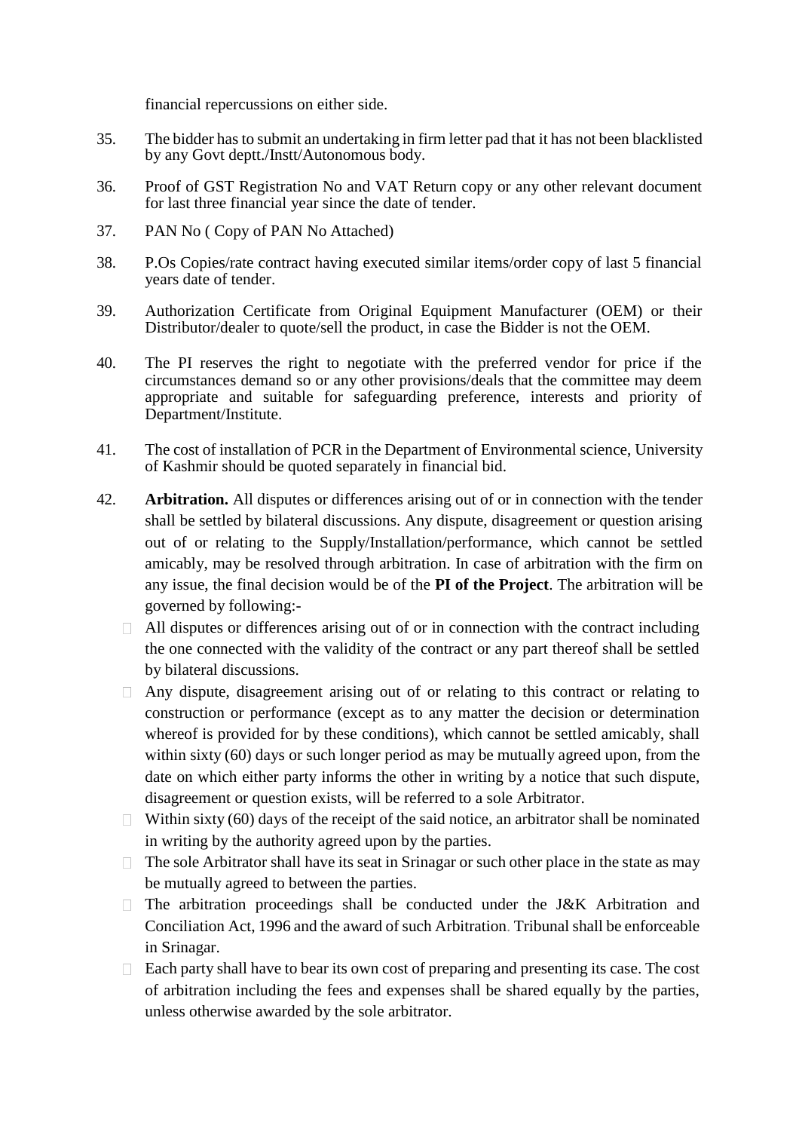financial repercussions on either side.

- 35. The bidder hasto submit an undertaking in firm letter pad that it has not been blacklisted by any Govt deptt./Instt/Autonomous body.
- 36. Proof of GST Registration No and VAT Return copy or any other relevant document for last three financial year since the date of tender.
- 37. PAN No ( Copy of PAN No Attached)
- 38. P.Os Copies/rate contract having executed similar items/order copy of last 5 financial years date of tender.
- 39. Authorization Certificate from Original Equipment Manufacturer (OEM) or their Distributor/dealer to quote/sell the product, in case the Bidder is not the OEM.
- 40. The PI reserves the right to negotiate with the preferred vendor for price if the circumstances demand so or any other provisions/deals that the committee may deem appropriate and suitable for safeguarding preference, interests and priority of Department/Institute.
- 41. The cost of installation of PCR in the Department of Environmental science, University of Kashmir should be quoted separately in financial bid.
- 42. **Arbitration.** All disputes or differences arising out of or in connection with the tender shall be settled by bilateral discussions. Any dispute, disagreement or question arising out of or relating to the Supply/Installation/performance, which cannot be settled amicably, may be resolved through arbitration. In case of arbitration with the firm on any issue, the final decision would be of the **PI of the Project**. The arbitration will be governed by following:-
	- $\Box$  All disputes or differences arising out of or in connection with the contract including the one connected with the validity of the contract or any part thereof shall be settled by bilateral discussions.
	- $\Box$  Any dispute, disagreement arising out of or relating to this contract or relating to construction or performance (except as to any matter the decision or determination whereof is provided for by these conditions), which cannot be settled amicably, shall within sixty (60) days or such longer period as may be mutually agreed upon, from the date on which either party informs the other in writing by a notice that such dispute, disagreement or question exists, will be referred to a sole Arbitrator.
	- $\Box$  Within sixty (60) days of the receipt of the said notice, an arbitrator shall be nominated in writing by the authority agreed upon by the parties.
	- $\Box$  The sole Arbitrator shall have its seat in Srinagar or such other place in the state as may be mutually agreed to between the parties.
	- $\Box$  The arbitration proceedings shall be conducted under the J&K Arbitration and Conciliation Act, 1996 and the award of such Arbitration. Tribunal shall be enforceable in Srinagar.
	- $\Box$  Each party shall have to bear its own cost of preparing and presenting its case. The cost of arbitration including the fees and expenses shall be shared equally by the parties, unless otherwise awarded by the sole arbitrator.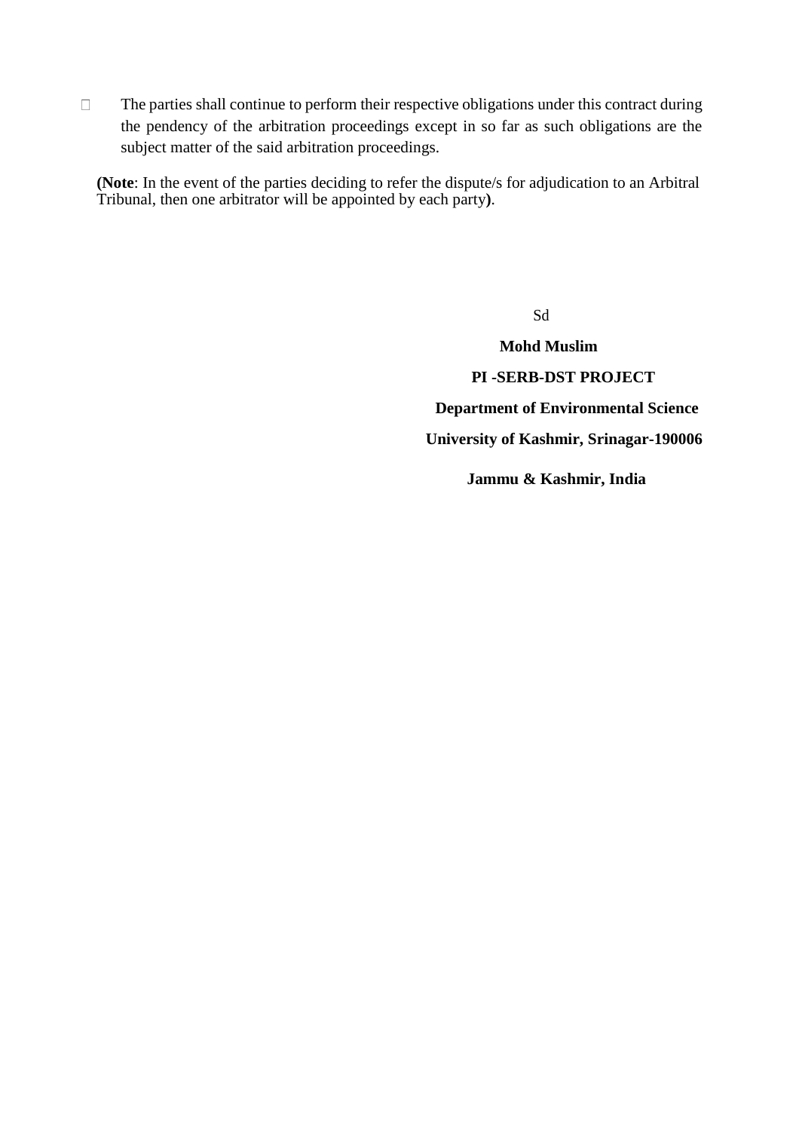$\Box$  The parties shall continue to perform their respective obligations under this contract during the pendency of the arbitration proceedings except in so far as such obligations are the subject matter of the said arbitration proceedings.

**(Note**: In the event of the parties deciding to refer the dispute/s for adjudication to an Arbitral Tribunal, then one arbitrator will be appointed by each party**)**.

> **Mohd Muslim PI -SERB-DST PROJECT Department of Environmental Science University of Kashmir, Srinagar-190006**

Sd

**Jammu & Kashmir, India**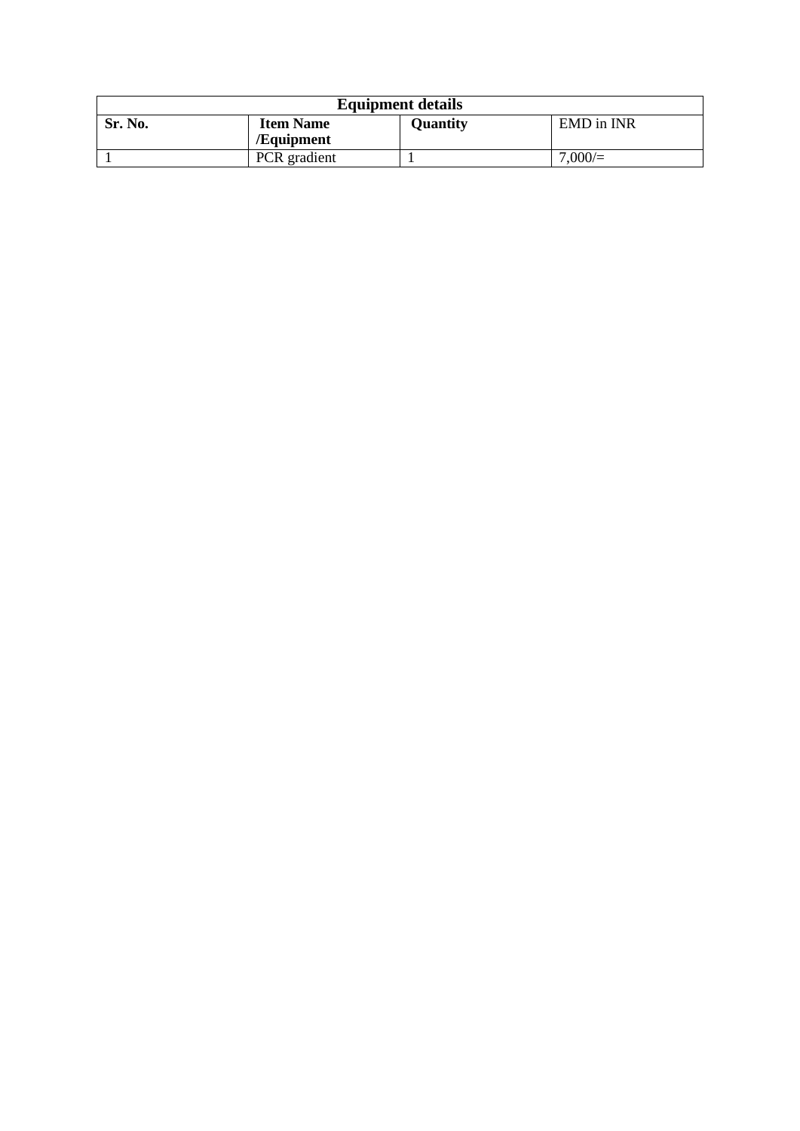| <b>Equipment details</b> |                                |                 |            |  |  |
|--------------------------|--------------------------------|-----------------|------------|--|--|
| Sr. No.                  | <b>Item Name</b><br>/Equipment | <b>Quantity</b> | EMD in INR |  |  |
|                          | <b>PCR</b> gradient            |                 | 7,000/     |  |  |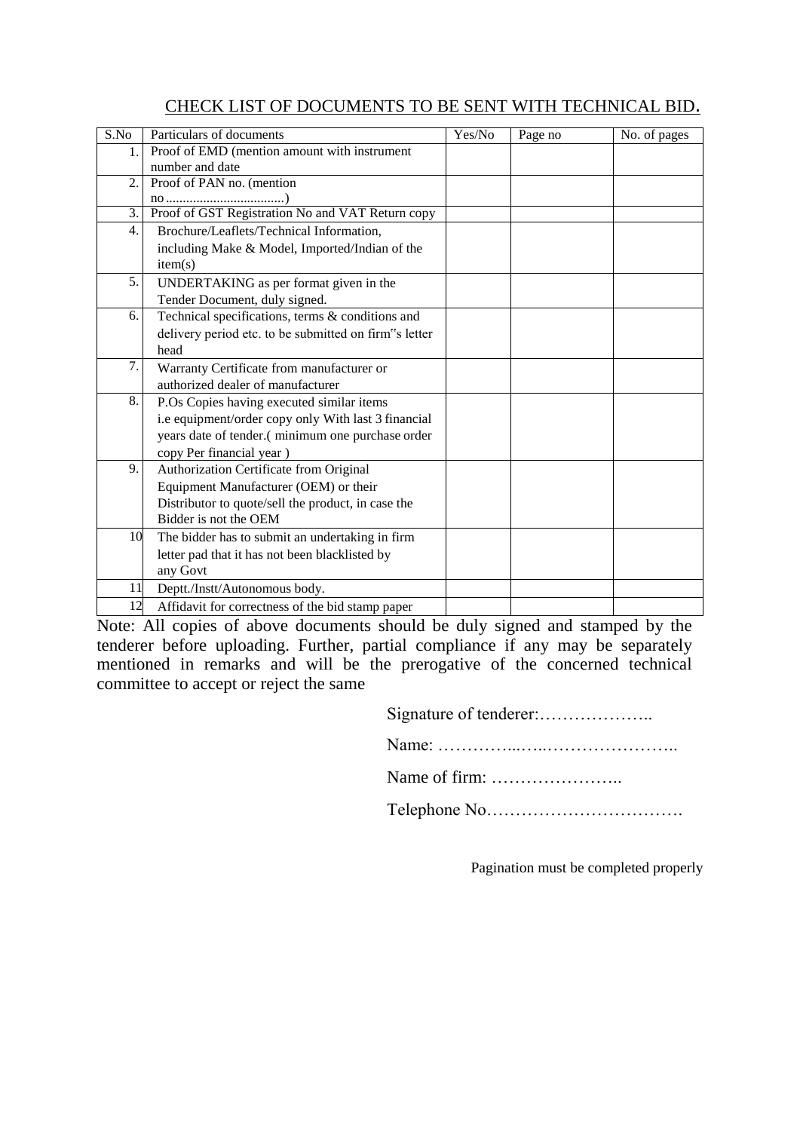## CHECK LIST OF DOCUMENTS TO BE SENT WITH TECHNICAL BID.

| $\overline{\text{S.No}}$ | Particulars of documents                              | Yes/No | Page no | No. of pages |
|--------------------------|-------------------------------------------------------|--------|---------|--------------|
| 1.                       | Proof of EMD (mention amount with instrument          |        |         |              |
|                          | number and date                                       |        |         |              |
| 2.                       | Proof of PAN no. (mention                             |        |         |              |
|                          |                                                       |        |         |              |
| 3.                       | Proof of GST Registration No and VAT Return copy      |        |         |              |
| 4.                       | Brochure/Leaflets/Technical Information,              |        |         |              |
|                          | including Make & Model, Imported/Indian of the        |        |         |              |
|                          | item(s)                                               |        |         |              |
| 5.                       | UNDERTAKING as per format given in the                |        |         |              |
|                          | Tender Document, duly signed.                         |        |         |              |
| 6.                       | Technical specifications, terms & conditions and      |        |         |              |
|                          | delivery period etc. to be submitted on firm"s letter |        |         |              |
|                          | head                                                  |        |         |              |
| 7.                       | Warranty Certificate from manufacturer or             |        |         |              |
|                          | authorized dealer of manufacturer                     |        |         |              |
| 8.                       | P.Os Copies having executed similar items             |        |         |              |
|                          | i.e equipment/order copy only With last 3 financial   |        |         |              |
|                          | years date of tender.(minimum one purchase order      |        |         |              |
|                          | copy Per financial year)                              |        |         |              |
| 9.                       | Authorization Certificate from Original               |        |         |              |
|                          | Equipment Manufacturer (OEM) or their                 |        |         |              |
|                          | Distributor to quote/sell the product, in case the    |        |         |              |
|                          | Bidder is not the OEM                                 |        |         |              |
| 10                       | The bidder has to submit an undertaking in firm       |        |         |              |
|                          | letter pad that it has not been blacklisted by        |        |         |              |
|                          | any Govt                                              |        |         |              |
| 11                       | Deptt./Instt/Autonomous body.                         |        |         |              |
| 12                       | Affidavit for correctness of the bid stamp paper      |        |         |              |

Note: All copies of above documents should be duly signed and stamped by the tenderer before uploading. Further, partial compliance if any may be separately mentioned in remarks and will be the prerogative of the concerned technical committee to accept or reject the same

Pagination must be completed properly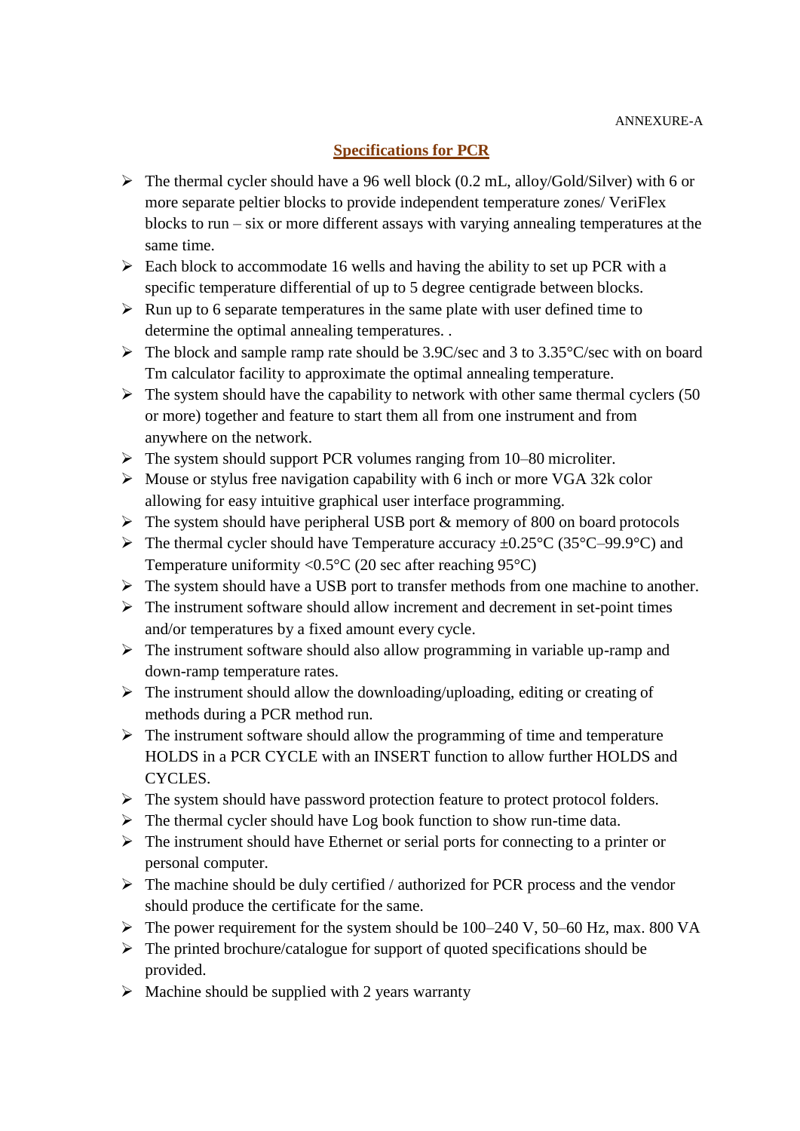## **Specifications for PCR**

- $\triangleright$  The thermal cycler should have a 96 well block (0.2 mL, alloy/Gold/Silver) with 6 or more separate peltier blocks to provide independent temperature zones/ VeriFlex blocks to run – six or more different assays with varying annealing temperatures at the same time.
- $\triangleright$  Each block to accommodate 16 wells and having the ability to set up PCR with a specific temperature differential of up to 5 degree centigrade between blocks.
- $\triangleright$  Run up to 6 separate temperatures in the same plate with user defined time to determine the optimal annealing temperatures. .
- $\triangleright$  The block and sample ramp rate should be 3.9C/sec and 3 to 3.35 °C/sec with on board Tm calculator facility to approximate the optimal annealing temperature.
- $\triangleright$  The system should have the capability to network with other same thermal cyclers (50) or more) together and feature to start them all from one instrument and from anywhere on the network.
- $\triangleright$  The system should support PCR volumes ranging from 10–80 microliter.
- $\triangleright$  Mouse or stylus free navigation capability with 6 inch or more VGA 32k color allowing for easy intuitive graphical user interface programming.
- $\triangleright$  The system should have peripheral USB port & memory of 800 on board protocols
- $\triangleright$  The thermal cycler should have Temperature accuracy  $\pm 0.25^{\circ}$ C (35°C–99.9°C) and Temperature uniformity < $0.5^{\circ}$ C (20 sec after reaching 95 $^{\circ}$ C)
- $\triangleright$  The system should have a USB port to transfer methods from one machine to another.
- $\triangleright$  The instrument software should allow increment and decrement in set-point times and/or temperatures by a fixed amount every cycle.
- $\triangleright$  The instrument software should also allow programming in variable up-ramp and down-ramp temperature rates.
- $\triangleright$  The instrument should allow the downloading/uploading, editing or creating of methods during a PCR method run.
- $\triangleright$  The instrument software should allow the programming of time and temperature HOLDS in a PCR CYCLE with an INSERT function to allow further HOLDS and CYCLES.
- $\triangleright$  The system should have password protection feature to protect protocol folders.
- $\triangleright$  The thermal cycler should have Log book function to show run-time data.
- $\triangleright$  The instrument should have Ethernet or serial ports for connecting to a printer or personal computer.
- $\triangleright$  The machine should be duly certified / authorized for PCR process and the vendor should produce the certificate for the same.
- $\triangleright$  The power requirement for the system should be 100–240 V, 50–60 Hz, max. 800 VA
- $\triangleright$  The printed brochure/catalogue for support of quoted specifications should be provided.
- $\triangleright$  Machine should be supplied with 2 years warranty